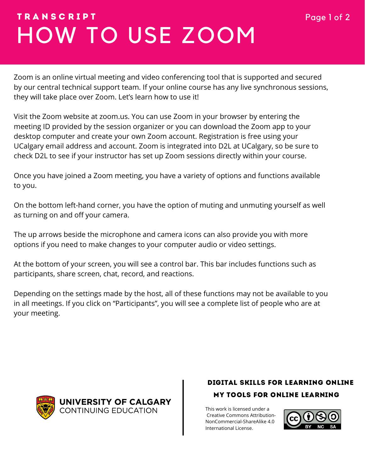# HOW TO USE ZOOM T R A N S C R I P T Page 1 of 2

Zoom is an online virtual meeting and video conferencing tool that is supported and secured by our central technical support team. If your online course has any live synchronous sessions, they will take place over Zoom. Let's learn how to use it!

Visit the Zoom website at zoom.us. You can use Zoom in your browser by entering the meeting ID provided by the session organizer or you can download the Zoom app to your desktop computer and create your own Zoom account. Registration is free using your UCalgary email address and account. Zoom is integrated into D2L at UCalgary, so be sure to check D2L to see if your instructor has set up Zoom sessions directly within your course.

Once you have joined a Zoom meeting, you have a variety of options and functions available to you.

On the bottom left-hand corner, you have the option of muting and unmuting yourself as well as turning on and off your camera.

The up arrows beside the microphone and camera icons can also provide you with more options if you need to make changes to your computer audio or video settings.

At the bottom of your screen, you will see a control bar. This bar includes functions such as participants, share screen, chat, record, and reactions.

Depending on the settings made by the host, all of these functions may not be available to you in all meetings. If you click on "Participants", you will see a complete list of people who are at your meeting.



### MY TOOLS FOR ONLINE LEARNING DIGITAL SKILLS FOR LEARNING ONLINE

This work is licensed under a [Creative Commons Attribution-](https://creativecommons.org/licenses/by-nc/4.0/)NonCommercial-ShareAlike 4.0 International License.